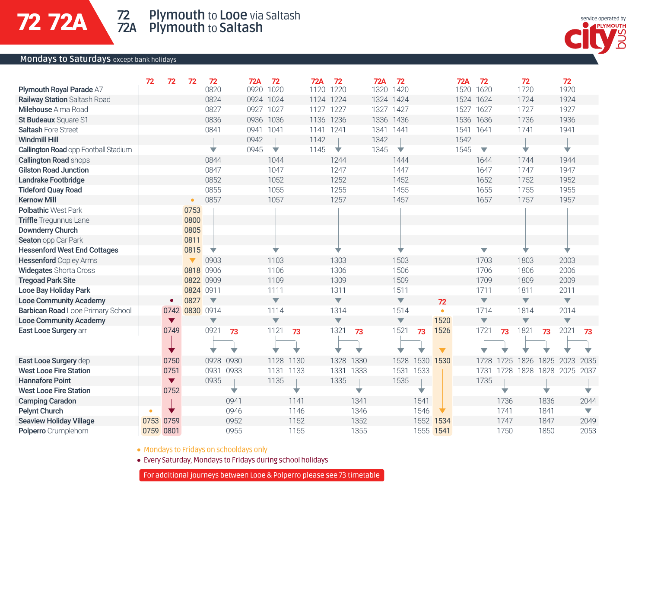### **Mondays to Saturdays** except bank holidays



|                                             | 72   | 72                   | 72                   | 72                      | <b>72A</b> | 72                      | 72A       | 72                      | <b>72A</b> | 72                      |           | 72A  | 72                      |      | 72                      |      | 72                      |                          |
|---------------------------------------------|------|----------------------|----------------------|-------------------------|------------|-------------------------|-----------|-------------------------|------------|-------------------------|-----------|------|-------------------------|------|-------------------------|------|-------------------------|--------------------------|
| Plymouth Royal Parade A7                    |      |                      |                      | 0820                    | 0920       | 1020                    | 1120      | 1220                    | 1320       | 1420                    |           | 1520 | 1620                    |      | 1720                    |      | 1920                    |                          |
| <b>Railway Station Saltash Road</b>         |      |                      |                      | 0824                    | 0924 1024  |                         | 1124 1224 |                         | 1324       | 1424                    |           |      | 1524 1624               |      | 1724                    |      | 1924                    |                          |
| Milehouse Alma Road                         |      |                      |                      | 0827                    | 0927 1027  |                         | 1127      | 1227                    | 1327       | 1427                    |           |      | 1527 1627               |      | 1727                    |      | 1927                    |                          |
| St Budeaux Square S1                        |      |                      |                      | 0836                    | 0936 1036  |                         | 1136      | 1236                    | 1336       | 1436                    |           |      | 1536 1636               |      | 1736                    |      | 1936                    |                          |
| <b>Saltash Fore Street</b>                  |      |                      |                      | 0841                    | 0941 1041  |                         | 1141 1241 |                         | 1341 1441  |                         |           |      | 1541 1641               |      | 1741                    |      | 1941                    |                          |
| <b>Windmill Hill</b>                        |      |                      |                      |                         | 0942       |                         | 1142      |                         | 1342       |                         |           | 1542 |                         |      |                         |      |                         |                          |
| <b>Callington Road opp Football Stadium</b> |      |                      |                      | v                       | 0945       | ▽                       | 1145      | ▽                       | 1345       | ▽                       |           | 1545 | ▽                       |      | v                       |      | v                       |                          |
| <b>Callington Road shops</b>                |      |                      |                      | 0844                    |            | 1044                    |           | 1244                    |            | 1444                    |           |      | 1644                    |      | 1744                    |      | 1944                    |                          |
| <b>Gilston Road Junction</b>                |      |                      |                      | 0847                    |            | 1047                    |           | 1247                    |            | 1447                    |           |      | 1647                    |      | 1747                    |      | 1947                    |                          |
| Landrake Footbridge                         |      |                      |                      | 0852                    |            | 1052                    |           | 1252                    |            | 1452                    |           |      | 1652                    |      | 1752                    |      | 1952                    |                          |
| <b>Tideford Quay Road</b>                   |      |                      |                      | 0855                    |            | 1055                    |           | 1255                    |            | 1455                    |           |      | 1655                    |      | 1755                    |      | 1955                    |                          |
| <b>Kernow Mill</b>                          |      |                      | $\bullet$            | 0857                    |            | 1057                    |           | 1257                    |            | 1457                    |           |      | 1657                    |      | 1757                    |      | 1957                    |                          |
| <b>Polbathic West Park</b>                  |      |                      | 0753                 |                         |            |                         |           |                         |            |                         |           |      |                         |      |                         |      |                         |                          |
| <b>Triffle</b> Tregunnus Lane               |      |                      | 0800                 |                         |            |                         |           |                         |            |                         |           |      |                         |      |                         |      |                         |                          |
| Downderry Church                            |      |                      | 0805                 |                         |            |                         |           |                         |            |                         |           |      |                         |      |                         |      |                         |                          |
| Seaton opp Car Park                         |      |                      | 0811                 |                         |            |                         |           |                         |            |                         |           |      |                         |      |                         |      |                         |                          |
| <b>Hessenford West End Cottages</b>         |      |                      | 0815                 | v                       |            |                         |           |                         |            |                         |           |      |                         |      |                         |      |                         |                          |
| <b>Hessenford</b> Copley Arms               |      |                      | $\blacktriangledown$ | 0903                    |            | 1103                    |           | 1303                    |            | 1503                    |           |      | 1703                    |      | 1803                    |      | 2003                    |                          |
| <b>Widegates Shorta Cross</b>               |      |                      | 0818 0906            |                         |            | 1106                    |           | 1306                    |            | 1506                    |           |      | 1706                    |      | 1806                    |      | 2006                    |                          |
| <b>Tregoad Park Site</b>                    |      |                      | 0822 0909            |                         |            | 1109                    |           | 1309                    |            | 1509                    |           |      | 1709                    |      | 1809                    |      | 2009                    |                          |
| Looe Bay Holiday Park                       |      |                      | 0824 0911            |                         |            | 1111                    |           | 1311                    |            | 1511                    |           |      | 1711                    |      | 1811                    |      | 2011                    |                          |
| <b>Looe Community Academy</b>               |      | ٠                    | 0827                 | $\overline{\mathbf{v}}$ |            | $\overline{\mathbf{v}}$ |           | $\blacktriangledown$    |            | $\blacktriangledown$    |           | 72   | $\overline{\mathbf{v}}$ |      | $\overline{\mathbf{v}}$ |      | $\overline{\mathbf{v}}$ |                          |
| Barbican Road Looe Primary School           |      |                      | 0742 0830 0914       |                         |            | 1114                    |           | 1314                    |            | 1514                    |           | ٠    | 1714                    |      | 1814                    |      | 2014                    |                          |
| <b>Looe Community Academy</b>               |      | $\blacktriangledown$ |                      | $\overline{\mathbf{v}}$ |            | $\overline{\mathbf{v}}$ |           | $\overline{\mathbf{v}}$ |            | $\overline{\mathbf{v}}$ |           | 1520 | $\blacktriangledown$    |      | $\overline{\mathbf{v}}$ |      | $\overline{\mathbf{v}}$ |                          |
| East Looe Surgery arr                       |      | 0749                 |                      | 0921                    | 73         | 1121                    | 73        | 1321                    | 73         | 1521                    | 73        | 1526 | 1721                    | 73   | 1821                    | 73   | 2021                    | 73                       |
|                                             |      |                      |                      |                         |            |                         |           |                         |            |                         |           |      |                         |      |                         |      |                         |                          |
|                                             |      |                      |                      |                         |            |                         |           |                         |            |                         |           |      |                         |      |                         |      |                         |                          |
| East Looe Surgery dep                       |      | 0750                 |                      | 0928                    | 0930       | 1128                    | 1130      | 1328                    | 1330       | 1528                    | 1530      | 1530 | 1728                    |      | 1826                    | 1825 | 2023                    | 2035                     |
| <b>West Looe Fire Station</b>               |      | 0751                 |                      | 0931                    | 0933       | 1131                    | 1133      | 1331                    | 1333       | 1531                    | 1533      |      | 1731                    | 1728 | 1828                    | 1828 | 2025                    | 2037                     |
| <b>Hannafore Point</b>                      |      | $\blacktriangledown$ |                      | 0935                    |            | 1135                    |           | 1335                    |            | 1535                    |           |      | 1735                    |      |                         |      |                         |                          |
| <b>West Looe Fire Station</b>               |      | 0752                 |                      |                         | v          |                         | v         |                         | ▽          |                         | v         |      |                         | v    |                         |      |                         |                          |
| <b>Camping Caradon</b>                      |      |                      |                      |                         | 0941       |                         | 1141      |                         | 1341       |                         | 1541      |      |                         | 1736 |                         | 1836 |                         | 2044                     |
| <b>Pelynt Church</b>                        | ٠    |                      |                      |                         | 0946       |                         | 1146      |                         | 1346       |                         | 1546      |      |                         | 1741 |                         | 1841 |                         | $\overline{\phantom{0}}$ |
| <b>Seaview Holiday Village</b>              | 0753 | 0759                 |                      |                         | 0952       |                         | 1152      |                         | 1352       |                         | 1552      | 1534 |                         | 1747 |                         | 1847 |                         | 2049                     |
| Polperro Crumplehorn                        | 0759 | 0801                 |                      |                         | 0955       |                         | 1155      |                         | 1355       |                         | 1555 1541 |      |                         | 1750 |                         | 1850 |                         | 2053                     |

. Mondays to Fridays on schooldays only

· Every Saturday, Mondays to Fridays during school holidays

For additional journeys between Looe & Polperro please see 73 timetable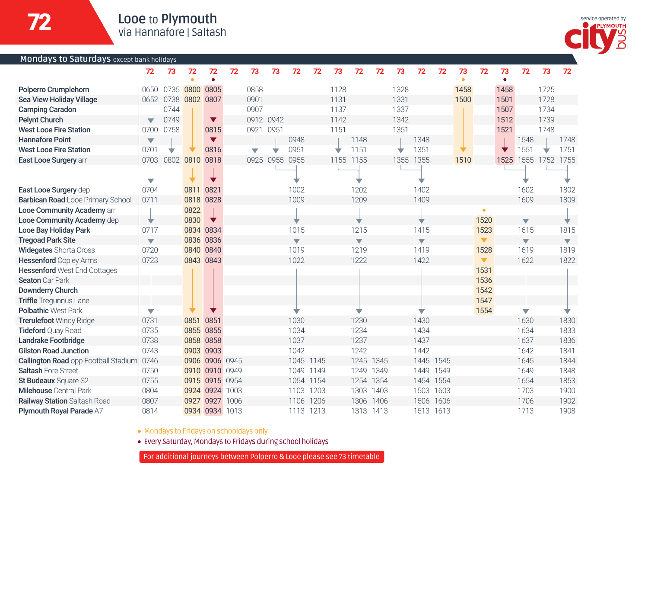

| Mondays to Saturdays except bank holidays |                         |           |                |                      |    |           |                |                         |      |           |                          |      |           |                          |           |      |                      |      |                          |                     |                          |
|-------------------------------------------|-------------------------|-----------|----------------|----------------------|----|-----------|----------------|-------------------------|------|-----------|--------------------------|------|-----------|--------------------------|-----------|------|----------------------|------|--------------------------|---------------------|--------------------------|
|                                           | 72                      | 73        | 72             | 72                   | 72 | 73        | 73             | 72                      | 72   | 73        | 72                       | 72   | 73        | 72                       | 72        | 73   | 72                   | 73   | 72                       | 73                  | 72                       |
|                                           |                         |           | ٠              | ٠                    |    |           |                |                         |      |           |                          |      |           |                          |           | ٠    |                      | ٠    |                          |                     |                          |
| Polperro Crumplehorn                      |                         |           | 0650 0735 0800 | 0805                 |    | 0858      |                |                         |      | 1128      |                          |      | 1328      |                          |           | 1458 |                      | 1458 |                          | 1725                |                          |
| Sea View Holiday Village                  |                         | 0652 0738 | 0802           | 0807                 |    | 0901      |                |                         |      | 1131      |                          |      | 1331      |                          |           | 1500 |                      | 1501 |                          | 1728                |                          |
| <b>Camping Caradon</b>                    |                         | 0744      |                |                      |    | 0907      |                |                         |      | 1137      |                          |      | 1337      |                          |           |      |                      | 1507 |                          | 1734                |                          |
| <b>Pelynt Church</b>                      |                         | 0749      |                | $\blacktriangledown$ |    | 0912 0942 |                |                         |      | 1142      |                          |      | 1342      |                          |           |      |                      | 1512 |                          | 1739                |                          |
| <b>West Looe Fire Station</b>             |                         | 0700 0758 |                | 0815                 |    | 0921 0951 |                |                         |      | 1151      |                          |      | 1351      |                          |           |      |                      | 1521 |                          | 1748                |                          |
| <b>Hannafore Point</b>                    | $\overline{\mathbf{v}}$ |           |                | $\blacktriangledown$ |    |           |                | 0948                    |      |           | 1148                     |      |           | 1348                     |           |      |                      |      | 1548                     |                     | 1748                     |
| <b>West Looe Fire Station</b>             | 0701                    |           |                | 0816                 |    |           |                | 0951                    |      | v         | 1151                     |      | v         | 1351                     |           |      |                      |      | 1551                     |                     | 1751                     |
| East Looe Surgery arr                     |                         | 0703 0802 | 0810           | 0818                 |    |           | 0925 0955 0955 |                         |      | 1155 1155 |                          |      | 1355 1355 |                          |           | 1510 |                      |      |                          | 1525 1555 1752 1755 |                          |
|                                           |                         |           |                |                      |    |           |                |                         |      |           |                          |      |           |                          |           |      |                      |      |                          |                     |                          |
|                                           |                         |           |                |                      |    |           |                |                         |      |           |                          |      |           |                          |           |      |                      |      |                          |                     |                          |
| East Looe Surgery dep                     | 0704                    |           | 0811           | 0821                 |    |           |                | 1002                    |      |           | 1202                     |      |           | 1402                     |           |      |                      |      | 1602                     |                     | 1802                     |
| Barbican Road Looe Primary School         | 0711                    |           | 0818           | 0828                 |    |           |                | 1009                    |      |           | 1209                     |      |           | 1409                     |           |      |                      |      | 1609                     |                     | 1809                     |
| Looe Community Academy arr                |                         |           | 0822           |                      |    |           |                |                         |      |           |                          |      |           |                          |           |      | ö                    |      |                          |                     |                          |
| Looe Community Academy dep                | ▼                       |           | 0830           | ▼                    |    |           |                | ÷                       |      |           | v                        |      |           |                          |           |      | 1520                 |      |                          |                     |                          |
| Looe Bay Holiday Park                     | 0717                    |           |                | 0834 0834            |    |           |                | 1015                    |      |           | 1215                     |      |           | 1415                     |           |      | 1523                 |      | 1615                     |                     | 1815                     |
| <b>Tregoad Park Site</b>                  | $\overline{\mathbf{v}}$ |           |                | 0836 0836            |    |           |                | $\overline{\mathbf{v}}$ |      |           | $\overline{\phantom{a}}$ |      |           | $\overline{\phantom{0}}$ |           |      | $\blacktriangledown$ |      | $\overline{\phantom{0}}$ |                     | $\overline{\phantom{a}}$ |
| <b>Widegates Shorta Cross</b>             | 0720                    |           |                | 0840 0840            |    |           |                | 1019                    |      |           | 1219                     |      |           | 1419                     |           |      | 1528                 |      | 1619                     |                     | 1819                     |
| <b>Hessenford Copley Arms</b>             | 0723                    |           |                | 0843 0843            |    |           |                | 1022                    |      |           | 1222                     |      |           | 1422                     |           |      | $\blacktriangledown$ |      | 1622                     |                     | 1822                     |
| <b>Hessenford West End Cottages</b>       |                         |           |                |                      |    |           |                |                         |      |           |                          |      |           |                          |           |      | 1531                 |      |                          |                     |                          |
| Seaton Car Park                           |                         |           |                |                      |    |           |                |                         |      |           |                          |      |           |                          |           |      | 1536                 |      |                          |                     |                          |
| <b>Downderry Church</b>                   |                         |           |                |                      |    |           |                |                         |      |           |                          |      |           |                          |           |      | 1542                 |      |                          |                     |                          |
| <b>Triffle</b> Tregunnus Lane             |                         |           |                |                      |    |           |                |                         |      |           |                          |      |           |                          |           |      | 1547                 |      |                          |                     |                          |
| <b>Polbathic West Park</b>                | v                       |           |                |                      |    |           |                | v                       |      |           | v                        |      |           | v                        |           |      | 1554                 |      | v                        |                     | ▽                        |
| <b>Trerulefoot Windy Ridge</b>            | 0731                    |           | 0851 0851      |                      |    |           |                | 1030                    |      |           | 1230                     |      |           | 1430                     |           |      |                      |      | 1630                     |                     | 1830                     |
| <b>Tideford Quay Road</b>                 | 0735                    |           |                | 0855 0855            |    |           |                | 1034                    |      |           | 1234                     |      |           | 1434                     |           |      |                      |      | 1634                     |                     | 1833                     |
| Landrake Footbridge                       | 0738                    |           |                | 0858 0858            |    |           |                | 1037                    |      |           | 1237                     |      |           | 1437                     |           |      |                      |      | 1637                     |                     | 1836                     |
| <b>Gilston Road Junction</b>              | 0743                    |           |                | 0903 0903            |    |           |                | 1042                    |      |           | 1242                     |      |           | 1442                     |           |      |                      |      | 1642                     |                     | 1841                     |
| Callington Road opp Football Stadium      | 0746                    |           | 0906           | 0906 0945            |    |           |                | 1045 1145               |      |           | 1245 1345                |      |           |                          | 1445 1545 |      |                      |      | 1645                     |                     | 1844                     |
| Saltash Fore Street                       | 0750                    |           |                | 0910 0910 0949       |    |           |                | 1049 1149               |      |           | 1249 1349                |      |           | 1449 1549                |           |      |                      |      | 1649                     |                     | 1848                     |
| St Budeaux Square S2                      | 0755                    |           |                | 0915 0915 0954       |    |           |                | 1054 1154               |      |           | 1254 1354                |      |           |                          | 1454 1554 |      |                      |      | 1654                     |                     | 1853                     |
| <b>Milehouse</b> Central Park             | 0804                    |           |                | 0924 0924 1003       |    |           |                | 1103                    | 1203 |           | 1303 1403                |      |           |                          | 1503 1603 |      |                      |      | 1703                     |                     | 1900                     |
| Railway Station Saltash Road              | 0807                    |           | 0927           | 0927 1006            |    |           |                | 1106                    | 1206 |           | 1306                     | 1406 |           | 1506                     | 1606      |      |                      |      | 1706                     |                     | 1902                     |
| Plymouth Royal Parade A7                  | 0814                    |           |                | 0934 0934 1013       |    |           |                | 1113 1213               |      |           | 1313 1413                |      |           | 1513 1613                |           |      |                      |      | 1713                     |                     | 1908                     |

• Mondays to Fridays on schooldays only

· Every Saturday, Mondays to Fridays during school holidays

For additional journeys between Polperro & Looe please see 73 timetable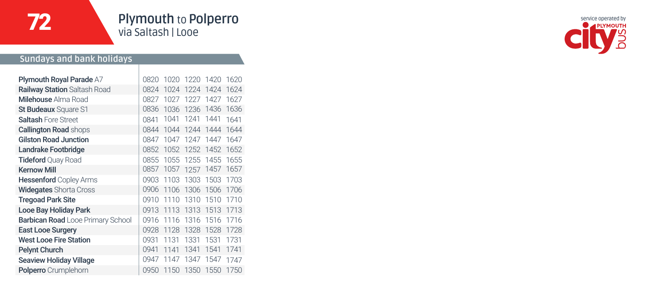72

# **Plymouth** to **Polperro** via Saltash | Looe

#### **Sundays and bank holidays**

| 0820 | 1020 |      |      | 1620      |
|------|------|------|------|-----------|
| 0824 | 1024 | 1224 | 1424 | 1624      |
| 0827 | 1027 | 1227 | 1427 | 1627      |
| 0836 | 1036 | 1236 | 1436 | 1636      |
| 0841 | 1041 | 1241 | 1441 | 1641      |
| 0844 | 1044 | 1244 | 1444 | 1644      |
| 0847 | 1047 | 1247 | 1447 | 1647      |
| 0852 | 1052 | 1252 | 1452 | 1652      |
| 0855 | 1055 | 1255 | 1455 | 1655      |
| 0857 | 1057 | 1257 | 1457 | 1657      |
| 0903 | 1103 | 1303 | 1503 | 1703      |
| 0906 | 1106 | 1306 | 1506 | 1706      |
| 0910 | 1110 | 1310 | 1510 | 1710      |
| 0913 | 1113 | 1313 | 1513 | 1713      |
| 0916 | 1116 | 1316 | 1516 | 1716      |
| 0928 | 1128 | 1328 | 1528 | 1728      |
| 0931 | 1131 | 1331 | 1531 | 1731      |
| 0941 | 1141 | 1341 | 1541 | 1741      |
| 0947 | 1147 | 1347 | 1547 | 1747      |
| 0950 | 1150 | 1350 | 1550 | 1750      |
|      |      |      |      | 1220 1420 |